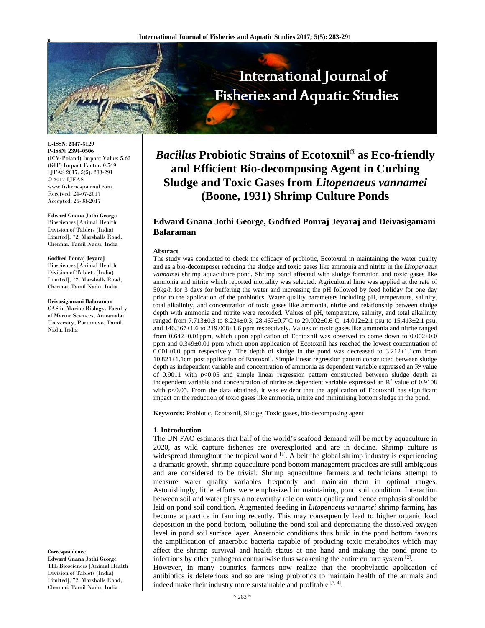

**E-ISSN: 2347-5129 P-ISSN: 2394-0506**  (ICV-Poland) Impact Value: 5.62 (GIF) Impact Factor: 0.549 IJFAS 2017; 5(5): 283-291  $\odot$  2017 IJFAS www.fisheriesjournal.com Received: 24-07-2017 Accepted: 25-08-2017

**Edward Gnana Jothi George** Biosciences [Animal Health Division of Tablets (India) Limited], 72, Marshalls Road, Chennai, Tamil Nadu, India

**Godfred Ponraj Jeyaraj**  Biosciences [Animal Health Division of Tablets (India) Limited], 72, Marshalls Road, Chennai, Tamil Nadu, India

**Deivasigamani Balaraman**  CAS in Marine Biology, Faculty

of Marine Sciences, Annamalai University, Portonovo, Tamil Nadu, India

**Correspondence** 

**Edward Gnana Jothi George** TIL Biosciences [Animal Health Division of Tablets (India) Limited], 72, Marshalls Road, Chennai, Tamil Nadu, India

# *Bacillus* **Probiotic Strains of Ecotoxnil® as Eco-friendly and Efficient Bio-decomposing Agent in Curbing Sludge and Toxic Gases from** *Litopenaeus vannamei* **(Boone, 1931) Shrimp Culture Ponds**

## **Edward Gnana Jothi George, Godfred Ponraj Jeyaraj and Deivasigamani Balaraman**

#### **Abstract**

The study was conducted to check the efficacy of probiotic, Ecotoxnil in maintaining the water quality and as a bio-decomposer reducing the sludge and toxic gases like ammonia and nitrite in the *Litopenaeus vannamei* shrimp aquaculture pond. Shrimp pond affected with sludge formation and toxic gases like ammonia and nitrite which reported mortality was selected. Agricultural lime was applied at the rate of 50kg/h for 3 days for buffering the water and increasing the pH followed by feed holiday for one day prior to the application of the probiotics. Water quality parameters including pH, temperature, salinity, total alkalinity, and concentration of toxic gases like ammonia, nitrite and relationship between sludge depth with ammonia and nitrite were recorded. Values of pH, temperature, salinity, and total alkalinity ranged from  $7.713\pm0.3$  to  $8.224\pm0.3$ ,  $28.467\pm0.7$ °C to  $29.902\pm0.6$ °C,  $14.012\pm2.1$  psu to  $15.413\pm2.1$  psu, and 146.367±1.6 to 219.008±1.6 ppm respectively. Values of toxic gases like ammonia and nitrite ranged from 0.642±0.01ppm, which upon application of Ecotoxnil was observed to come down to 0.002±0.0 ppm and 0.349±0.01 ppm which upon application of Ecotoxnil has reached the lowest concentration of  $0.001\pm0.0$  ppm respectively. The depth of sludge in the pond was decreased to 3.212 $\pm$ 1.1cm from 10.821±1.1cm post application of Ecotoxnil. Simple linear regression pattern constructed between sludge depth as independent variable and concentration of ammonia as dependent variable expressed an  $R<sup>2</sup>$  value of  $0.9011$  with  $p<0.05$  and simple linear regression pattern constructed between sludge depth as independent variable and concentration of nitrite as dependent variable expressed an  $\mathbb{R}^2$  value of 0.9108 with  $p$ <0.05. From the data obtained, it was evident that the application of Ecotoxnil has significant impact on the reduction of toxic gases like ammonia, nitrite and minimising bottom sludge in the pond.

**Keywords:** Probiotic, Ecotoxnil, Sludge, Toxic gases, bio-decomposing agent

#### **1. Introduction**

The UN FAO estimates that half of the world's seafood demand will be met by aquaculture in 2020, as wild capture fisheries are overexploited and are in decline. Shrimp culture is widespread throughout the tropical world <sup>[1]</sup>. Albeit the global shrimp industry is experiencing a dramatic growth, shrimp aquaculture pond bottom management practices are still ambiguous and are considered to be trivial. Shrimp aquaculture farmers and technicians attempt to measure water quality variables frequently and maintain them in optimal ranges. Astonishingly, little efforts were emphasized in maintaining pond soil condition. Interaction between soil and water plays a noteworthy role on water quality and hence emphasis should be laid on pond soil condition. Augmented feeding in *Litopenaeus vannamei* shrimp farming has become a practice in farming recently. This may consequently lead to higher organic load deposition in the pond bottom, polluting the pond soil and depreciating the dissolved oxygen level in pond soil surface layer. Anaerobic conditions thus build in the pond bottom favours the amplification of anaerobic bacteria capable of producing toxic metabolites which may affect the shrimp survival and health status at one hand and making the pond prone to infections by other pathogens contrariwise thus weakening the entire culture system [2].

However, in many countries farmers now realize that the prophylactic application of antibiotics is deleterious and so are using probiotics to maintain health of the animals and indeed make their industry more sustainable and profitable  $[3, 4]$ .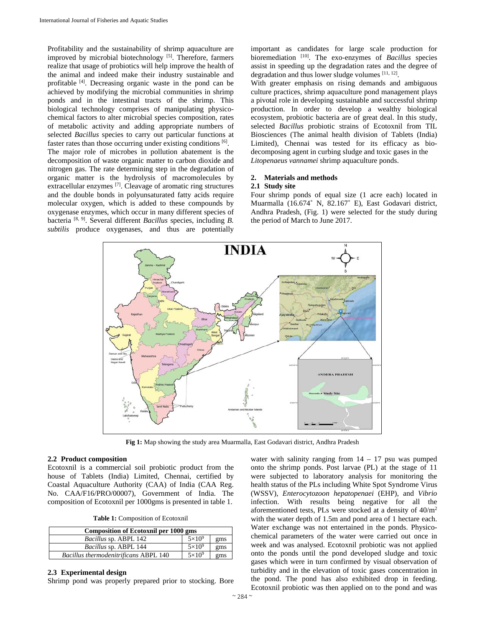Profitability and the sustainability of shrimp aquaculture are improved by microbial biotechnology [5]. Therefore, farmers realize that usage of probiotics will help improve the health of the animal and indeed make their industry sustainable and profitable [4]. Decreasing organic waste in the pond can be achieved by modifying the microbial communities in shrimp ponds and in the intestinal tracts of the shrimp. This biological technology comprises of manipulating physicochemical factors to alter microbial species composition, rates of metabolic activity and adding appropriate numbers of selected *Bacillus* species to carry out particular functions at faster rates than those occurring under existing conditions [6]. The major role of microbes in pollution abatement is the decomposition of waste organic matter to carbon dioxide and nitrogen gas. The rate determining step in the degradation of organic matter is the hydrolysis of macromolecules by extracellular enzymes [7]. Cleavage of aromatic ring structures and the double bonds in polyunsaturated fatty acids require molecular oxygen, which is added to these compounds by oxygenase enzymes, which occur in many different species of bacteria [8, 9]. Several different *Bacillus* species, including *B. subtilis* produce oxygenases, and thus are potentially

important as candidates for large scale production for bioremediation [10]. The exo-enzymes of *Bacillus* species assist in speeding up the degradation rates and the degree of degradation and thus lower sludge volumes [11, 12].

With greater emphasis on rising demands and ambiguous culture practices, shrimp aquaculture pond management plays a pivotal role in developing sustainable and successful shrimp production. In order to develop a wealthy biological ecosystem, probiotic bacteria are of great deal. In this study, selected *Bacillus* probiotic strains of Ecotoxnil from TIL Biosciences (The animal health division of Tablets (India) Limited), Chennai was tested for its efficacy as biodecomposing agent in curbing sludge and toxic gases in the *Litopenaeus vannamei* shrimp aquaculture ponds.

## **2. Materials and methods 2.1 Study site**

Four shrimp ponds of equal size (1 acre each) located in Muarmalla (16.674˚ N, 82.167˚ E), East Godavari district, Andhra Pradesh, (Fig. 1) were selected for the study during the period of March to June 2017.



**Fig 1:** Map showing the study area Muarmalla, East Godavari district, Andhra Pradesh

#### **2.2 Product composition**

Ecotoxnil is a commercial soil probiotic product from the house of Tablets (India) Limited, Chennai, certified by Coastal Aquaculture Authority (CAA) of India (CAA Reg. No. CAA/F16/PRO/00007), Government of India. The composition of Ecotoxnil per 1000gms is presented in table 1.

**Table 1:** Composition of Ecotoxnil

| <b>Composition of Ecotoxnil per 1000 gms</b> |               |     |  |  |
|----------------------------------------------|---------------|-----|--|--|
| <i>Bacillus sp. ABPL 142</i>                 | $5\times10^9$ | gms |  |  |
| Bacillus sp. ABPL 144                        | $5\times10^9$ | gms |  |  |
| Bacillus thermodenitrificans ABPL 140        | $5\times10^9$ | gms |  |  |

#### **2.3 Experimental design**

Shrimp pond was properly prepared prior to stocking. Bore

water with salinity ranging from  $14 - 17$  psu was pumped onto the shrimp ponds. Post larvae (PL) at the stage of 11 were subjected to laboratory analysis for monitoring the health status of the PLs including White Spot Syndrome Virus (WSSV), *Enterocytozoon hepatopenaei* (EHP), and *Vibrio* infection. With results being negative for all the aforementioned tests, PLs were stocked at a density of 40/m2 with the water depth of 1.5m and pond area of 1 hectare each. Water exchange was not entertained in the ponds. Physicochemical parameters of the water were carried out once in week and was analysed. Ecotoxnil probiotic was not applied onto the ponds until the pond developed sludge and toxic gases which were in turn confirmed by visual observation of turbidity and in the elevation of toxic gases concentration in the pond. The pond has also exhibited drop in feeding. Ecotoxnil probiotic was then applied on to the pond and was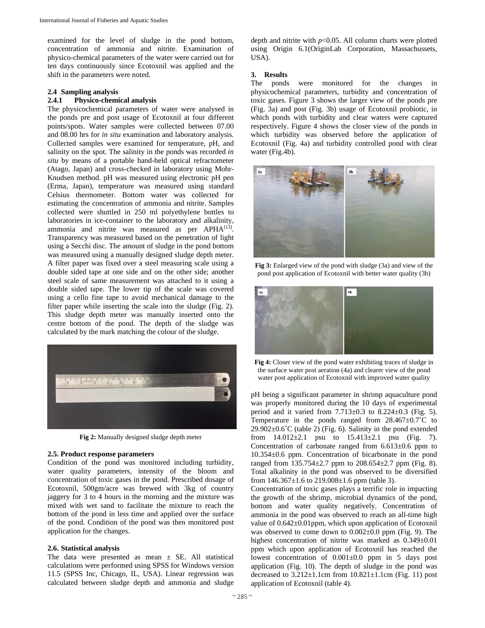examined for the level of sludge in the pond bottom, concentration of ammonia and nitrite. Examination of physico-chemical parameters of the water were carried out for ten days continuously since Ecotoxnil was applied and the shift in the parameters were noted.

## **2.4 Sampling analysis**

## **2.4.1 Physico-chemical analysis**

The physicochemical parameters of water were analysed in the ponds pre and post usage of Ecotoxnil at four different points/spots. Water samples were collected between 07.00 and 08.00 hrs for *in situ* examination and laboratory analysis. Collected samples were examined for temperature, pH, and salinity on the spot. The salinity in the ponds was recorded *in situ* by means of a portable hand-held optical refractometer (Atago, Japan) and cross-checked in laboratory using Mohr-Knudsen method. pH was measured using electronic pH pen (Erma, Japan), temperature was measured using standard Celsius thermometer. Bottom water was collected for estimating the concentration of ammonia and nitrite. Samples collected were shuttled in 250 ml polyethylene bottles to laboratories in ice-container to the laboratory and alkalinity, ammonia and nitrite was measured as per APHA<sup>[13]</sup>. Transparency was measured based on the penetration of light using a Secchi disc. The amount of sludge in the pond bottom was measured using a manually designed sludge depth meter. A filter paper was fixed over a steel measuring scale using a double sided tape at one side and on the other side; another steel scale of same measurement was attached to it using a double sided tape. The lower tip of the scale was covered using a cello fine tape to avoid mechanical damage to the filter paper while inserting the scale into the sludge (Fig. 2). This sludge depth meter was manually inserted onto the centre bottom of the pond. The depth of the sludge was calculated by the mark matching the colour of the sludge.



**Fig 2:** Manually designed sludge depth meter

#### **2.5. Product response parameters**

Condition of the pond was monitored including turbidity, water quality parameters, intensity of the bloom and concentration of toxic gases in the pond. Prescribed dosage of Ecotoxnil, 500gm/acre was brewed with 3kg of country jaggery for 3 to 4 hours in the morning and the mixture was mixed with wet sand to facilitate the mixture to reach the bottom of the pond in less time and applied over the surface of the pond. Condition of the pond was then monitored post application for the changes.

#### **2.6. Statistical analysis**

The data were presented as mean  $\pm$  SE. All statistical calculations were performed using SPSS for Windows version 11.5 (SPSS Inc, Chicago, IL, USA). Linear regression was calculated between sludge depth and ammonia and sludge

depth and nitrite with *p*<0.05. All column charts were plotted using Origin 6.1(OriginLab Corporation, Massachussets, USA).

#### **3. Results**

The ponds were monitored for the changes in physicochemical parameters, turbidity and concentration of toxic gases. Figure 3 shows the larger view of the ponds pre (Fig. 3a) and post (Fig. 3b) usage of Ecotoxnil probiotic, in which ponds with turbidity and clear waters were captured respectively. Figure 4 shows the closer view of the ponds in which turbidity was observed before the application of Ecotoxnil (Fig. 4a) and turbidity controlled pond with clear water (Fig.4b).



**Fig 3:** Enlarged view of the pond with sludge (3a) and view of the pond post application of Ecotoxnil with better water quality (3b)



**Fig 4:** Closer view of the pond water exhibiting traces of sludge in the surface water post aeration (4a) and clearer view of the pond water post application of Ecotoxnil with improved water quality

pH being a significant parameter in shrimp aquaculture pond was properly monitored during the 10 days of experimental period and it varied from  $7.713 \pm 0.3$  to  $8.224 \pm 0.3$  (Fig. 5). Temperature in the ponds ranged from  $28.467 \pm 0.7^{\circ}$ C to  $29.902\pm0.6^{\circ}$ C (table 2) (Fig. 6). Salinity in the pond extended from  $14.012 \pm 2.1$  psu to  $15.413 \pm 2.1$  psu (Fig. 7). Concentration of carbonate ranged from  $6.613 \pm 0.6$  ppm to 10.354±0.6 ppm. Concentration of bicarbonate in the pond ranged from  $135.754 \pm 2.7$  ppm to  $208.654 \pm 2.7$  ppm (Fig. 8). Total alkalinity in the pond was observed to be diversified from  $146.367 \pm 1.6$  to  $219.008 \pm 1.6$  ppm (table 3).

Concentration of toxic gases plays a terrific role in impacting the growth of the shrimp, microbial dynamics of the pond, bottom and water quality negatively. Concentration of ammonia in the pond was observed to reach an all-time high value of  $0.642 \pm 0.01$ ppm, which upon application of Ecotoxnil was observed to come down to  $0.002 \pm 0.0$  ppm (Fig. 9). The highest concentration of nitrite was marked as  $0.349 \pm 0.01$ ppm which upon application of Ecotoxnil has reached the lowest concentration of 0.001±0.0 ppm in 5 days post application (Fig. 10). The depth of sludge in the pond was decreased to  $3.212 \pm 1.1$ cm from  $10.821 \pm 1.1$ cm (Fig. 11) post application of Ecotoxnil (table 4).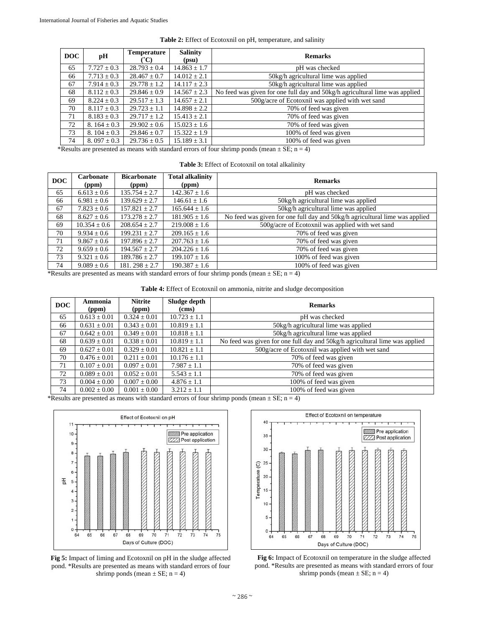| DOC | pН               | <b>Temperature</b><br>'C) | <b>Salinity</b><br>(psu) | <b>Remarks</b>                                                              |
|-----|------------------|---------------------------|--------------------------|-----------------------------------------------------------------------------|
| 65  | $7.727 \pm 0.3$  | $28.793 \pm 0.4$          | $14.863 \pm 1.7$         | pH was checked                                                              |
| 66  | $7.713 \pm 0.3$  | $28.467 \pm 0.7$          | $14.012 \pm 2.1$         | 50kg/h agricultural lime was applied                                        |
| 67  | $7.914 \pm 0.3$  | $29.778 \pm 1.2$          | $14.117 \pm 2.3$         | 50kg/h agricultural lime was applied                                        |
| 68  | $8.112 \pm 0.3$  | $29.846 \pm 0.9$          | $14.567 \pm 2.3$         | No feed was given for one full day and 50kg/h agricultural lime was applied |
| 69  | $8.224 \pm 0.3$  | $29.517 \pm 1.3$          | $14.657 \pm 2.1$         | 500g/acre of Ecotoxnil was applied with wet sand                            |
| 70  | $8.117 \pm 0.3$  | $29.723 \pm 1.1$          | $14.898 \pm 2.2$         | 70% of feed was given                                                       |
| 71  | $8.183 \pm 0.3$  | $29.717 \pm 1.2$          | $15.413 \pm 2.1$         | 70% of feed was given                                                       |
| 72  | 8. $164 \pm 0.3$ | $29.902 \pm 0.6$          | $15.023 \pm 1.6$         | 70% of feed was given                                                       |
| 73  | 8. $104 \pm 0.3$ | $29.846 \pm 0.7$          | $15.322 \pm 1.9$         | 100% of feed was given                                                      |
| 74  | 8. 097 $\pm$ 0.3 | $29.736 \pm 0.5$          | $15.189 \pm 3.1$         | 100% of feed was given                                                      |

\*Results are presented as means with standard errors of four shrimp ponds (mean  $\pm$  SE; n = 4)

|  |  | Table 3: Effect of Ecotoxnil on total alkalinity |  |  |
|--|--|--------------------------------------------------|--|--|
|--|--|--------------------------------------------------|--|--|

| DOC | Carbonate<br>(ppm) | <b>Bicarbonate</b><br>(ppm) | <b>Total alkalinity</b><br>(ppm) | <b>Remarks</b>                                                              |
|-----|--------------------|-----------------------------|----------------------------------|-----------------------------------------------------------------------------|
| 65  | $6.613 \pm 0.6$    | $135.754 \pm 2.7$           | $142.367 \pm 1.6$                | pH was checked                                                              |
| 66  | $6.981 \pm 0.6$    | $139.629 \pm 2.7$           | $146.61 \pm 1.6$                 | 50kg/h agricultural lime was applied                                        |
| 67  | $7.823 \pm 0.6$    | $157.821 + 2.7$             | $165.644 \pm 1.6$                | 50kg/h agricultural lime was applied                                        |
| 68  | $8.627 \pm 0.6$    | $173.278 + 2.7$             | $181.905 \pm 1.6$                | No feed was given for one full day and 50kg/h agricultural lime was applied |
| 69  | $10.354 \pm 0.6$   | $208.654 \pm 2.7$           | $219.008 \pm 1.6$                | 500g/acre of Ecotoxnil was applied with wet sand                            |
| 70  | $9.934 \pm 0.6$    | $199.231 \pm 2.7$           | $209.165 \pm 1.6$                | 70% of feed was given                                                       |
| 71  | $9.867 \pm 0.6$    | $197.896 \pm 2.7$           | $207.763 \pm 1.6$                | 70% of feed was given                                                       |
| 72  | $9.659 \pm 0.6$    | $194.567 \pm 2.7$           | $204.226 \pm 1.6$                | 70% of feed was given                                                       |
| 73  | $9.321 \pm 0.6$    | $189.786 \pm 2.7$           | $199.107 \pm 1.6$                | 100% of feed was given                                                      |
| 74  | $9.089 \pm 0.6$    | $181.298 \pm 2.7$           | $190.387 \pm 1.6$                | 100% of feed was given                                                      |

\*Results are presented as means with standard errors of four shrimp ponds (mean  $\pm$  SE; n = 4)

**Table 4:** Effect of Ecotoxnil on ammonia, nitrite and sludge decomposition

| DOC | Ammonia<br>(ppm) | <b>Nitrite</b><br>(ppm) | Sludge depth<br>(cms) | <b>Remarks</b>                                                              |
|-----|------------------|-------------------------|-----------------------|-----------------------------------------------------------------------------|
| 65  | $0.613 \pm 0.01$ | $0.324 \pm 0.01$        | $10.723 \pm 1.1$      | pH was checked                                                              |
| 66  | $0.631 \pm 0.01$ | $0.343 \pm 0.01$        | $10.819 \pm 1.1$      | 50kg/h agricultural lime was applied                                        |
| 67  | $0.642 \pm 0.01$ | $0.349 \pm 0.01$        | $10.818 \pm 1.1$      | 50kg/h agricultural lime was applied                                        |
| 68  | $0.639 \pm 0.01$ | $0.338 \pm 0.01$        | $10.819 \pm 1.1$      | No feed was given for one full day and 50kg/h agricultural lime was applied |
| 69  | $0.627 \pm 0.01$ | $0.329 \pm 0.01$        | $10.821 \pm 1.1$      | 500g/acre of Ecotoxnil was applied with wet sand                            |
| 70  | $0.476 \pm 0.01$ | $0.211 \pm 0.01$        | $10.176 \pm 1.1$      | 70% of feed was given                                                       |
| 71  | $0.107 \pm 0.01$ | $0.097 \pm 0.01$        | $7.987 \pm 1.1$       | 70% of feed was given                                                       |
| 72  | $0.089 \pm 0.01$ | $0.052 \pm 0.01$        | $5.543 \pm 1.1$       | 70% of feed was given                                                       |
| 73  | $0.004 \pm 0.00$ | $0.007 \pm 0.00$        | $4.876 \pm 1.1$       | 100% of feed was given                                                      |
| 74  | $0.002 \pm 0.00$ | $0.001 \pm 0.00$        | $3.212 \pm 1.1$       | 100% of feed was given                                                      |

\*Results are presented as means with standard errors of four shrimp ponds (mean  $\pm$  SE; n = 4)



**Fig 5:** Impact of liming and Ecotoxnil on pH in the sludge affected pond. \*Results are presented as means with standard errors of four shrimp ponds (mean  $\pm$  SE; n = 4)



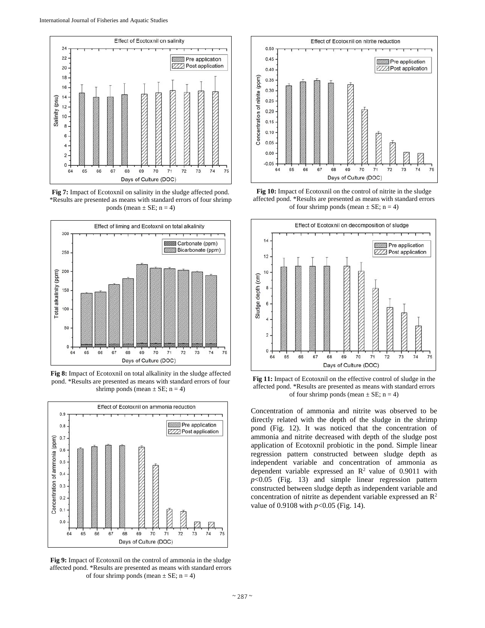

**Fig 7:** Impact of Ecotoxnil on salinity in the sludge affected pond. \*Results are presented as means with standard errors of four shrimp ponds (mean  $\pm$  SE; n = 4)



**Fig 8:** Impact of Ecotoxnil on total alkalinity in the sludge affected pond. \*Results are presented as means with standard errors of four shrimp ponds (mean  $\pm$  SE; n = 4)



**Fig 9:** Impact of Ecotoxnil on the control of ammonia in the sludge affected pond. \*Results are presented as means with standard errors of four shrimp ponds (mean  $\pm$  SE; n = 4)



Fig 10: Impact of Ecotoxnil on the control of nitrite in the sludge affected pond. \*Results are presented as means with standard errors of four shrimp ponds (mean  $\pm$  SE; n = 4)



**Fig 11:** Impact of Ecotoxnil on the effective control of sludge in the affected pond. \*Results are presented as means with standard errors of four shrimp ponds (mean  $\pm$  SE; n = 4)

Concentration of ammonia and nitrite was observed to be directly related with the depth of the sludge in the shrimp pond (Fig. 12). It was noticed that the concentration of ammonia and nitrite decreased with depth of the sludge post application of Ecotoxnil probiotic in the pond. Simple linear regression pattern constructed between sludge depth as independent variable and concentration of ammonia as dependent variable expressed an  $\mathbb{R}^2$  value of 0.9011 with *p*<0.05 (Fig. 13) and simple linear regression pattern constructed between sludge depth as independent variable and concentration of nitrite as dependent variable expressed an  $\mathbb{R}^2$ value of 0.9108 with *p*<0.05 (Fig. 14).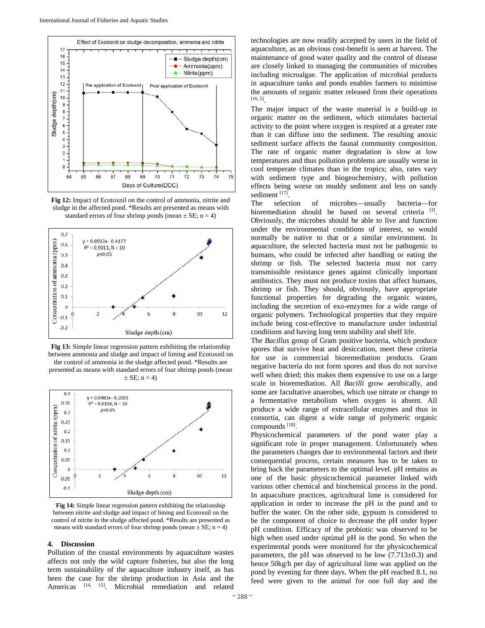

**Fig 12:** Impact of Ecotoxnil on the control of ammonia, nitrite and sludge in the affected pond. \*Results are presented as means with standard errors of four shrimp ponds (mean  $\pm$  SE; n = 4)



**Fig 13:** Simple linear regression pattern exhibiting the relationship between ammonia and sludge and impact of liming and Ecotoxnil on the control of ammonia in the sludge affected pond. \*Results are presented as means with standard errors of four shrimp ponds (mean  $\pm$  SE; n = 4)



**Fig 14:** Simple linear regression pattern exhibiting the relationship between nitrite and sludge and impact of liming and Ecotoxnil on the control of nitrite in the sludge affected pond. \*Results are presented as means with standard errors of four shrimp ponds (mean  $\pm$  SE; n = 4)

#### **4. Discussion**

Pollution of the coastal environments by aquaculture wastes affects not only the wild capture fisheries, but also the long term sustainability of the aquaculture industry itself, as has been the case for the shrimp production in Asia and the Americas [14, 15]. Microbial remediation and related

technologies are now readily accepted by users in the field of aquaculture, as an obvious cost-benefit is seen at harvest. The maintenance of good water quality and the control of disease are closely linked to managing the communities of microbes including microalgae. The application of microbial products in aquaculture tanks and ponds enables farmers to minimise the amounts of organic matter released from their operations [16, 5].

The major impact of the waste material is a build-up in organic matter on the sediment, which stimulates bacterial activity to the point where oxygen is respired at a greater rate than it can diffuse into the sediment. The resulting anoxic sediment surface affects the faunal community composition. The rate of organic matter degradation is slow at low temperatures and thus pollution problems are usually worse in cool temperate climates than in the tropics; also, rates vary with sediment type and biogeochemistry, with pollution effects being worse on muddy sediment and less on sandy sediment [17].

The selection of microbes—usually bacteria—for bioremediation should be based on several criteria [3]. Obviously, the microbes should be able to live and function under the environmental conditions of interest, so would normally be native to that or a similar environment. In aquaculture, the selected bacteria must not be pathogenic to humans, who could be infected after handling or eating the shrimp or fish. The selected bacteria must not carry transmissible resistance genes against clinically important antibiotics. They must not produce toxins that affect humans, shrimp or fish. They should, obviously, have appropriate functional properties for degrading the organic wastes, including the secretion of exo-enzymes for a wide range of organic polymers. Technological properties that they require include being cost-effective to manufacture under industrial conditions and having long term stability and shelf life.

The *Bacillus* group of Gram positive bacteria, which produce spores that survive heat and desiccation, meet these criteria for use in commercial bioremediation products. Gram negative bacteria do not form spores and thus do not survive well when dried; this makes them expensive to use on a large scale in bioremediation. All *Bacilli* grow aerobically, and some are facultative anaerobes, which use nitrate or change to a fermentative metabolism when oxygen is absent. All produce a wide range of extracellular enzymes and thus in consortia, can digest a wide range of polymeric organic compounds [18].

Physicochemical parameters of the pond water play a significant role in proper management. Unfortunately when the parameters changes due to environmental factors and their consequential process, certain measures has to be taken to bring back the parameters to the optimal level. pH remains as one of the basic physicochemical parameter linked with various other chemical and biochemical process in the pond. In aquaculture practices, agricultural lime is considered for application in order to increase the pH in the pond and to buffer the water. On the other side, gypsum is considered to be the component of choice to decrease the pH under hyper pH condition. Efficacy of the probiotic was observed to be high when used under optimal pH in the pond. So when the experimental ponds were monitored for the physicochemical parameters, the pH was observed to be low  $(7.713\pm0.3)$  and hence 50kg/h per day of agricultural lime was applied on the pond by evening for three days. When the pH reached 8.1, no feed were given to the animal for one full day and the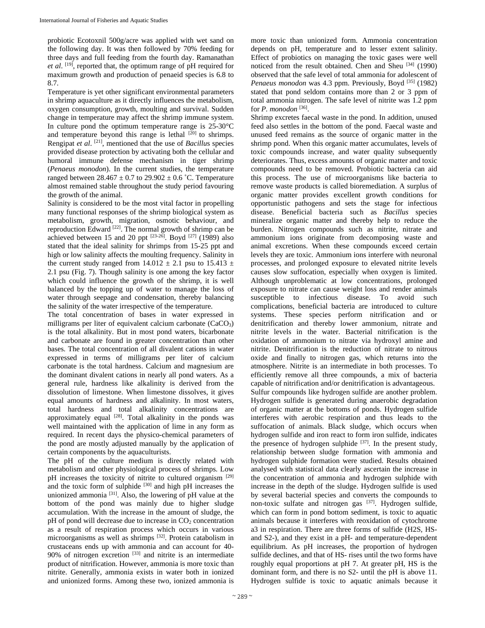probiotic Ecotoxnil 500g/acre was applied with wet sand on the following day. It was then followed by 70% feeding for three days and full feeding from the fourth day. Ramanathan *et al*. [19], reported that, the optimum range of pH required for maximum growth and production of penaeid species is 6.8 to 8.7.

Temperature is yet other significant environmental parameters in shrimp aquaculture as it directly influences the metabolism, oxygen consumption, growth, moulting and survival. Sudden change in temperature may affect the shrimp immune system. In culture pond the optimum temperature range is  $25\text{-}30^{\circ}\text{C}$ and temperature beyond this range is lethal <sup>[20]</sup> to shrimps. Rengipat *et al*. [21], mentioned that the use of *Bacillu*s species provided disease protection by activating both the cellular and humoral immune defense mechanism in tiger shrimp (*Penaeus monodon*). In the current studies, the temperature ranged between  $28.467 \pm 0.7$  to  $29.902 \pm 0.6$  °C. Temperature almost remained stable throughout the study period favouring the growth of the animal.

Salinity is considered to be the most vital factor in propelling many functional responses of the shrimp biological system as metabolism, growth, migration, osmotic behaviour, and reproduction Edward [22]. The normal growth of shrimp can be achieved between 15 and 20 ppt  $[23-26]$ . Boyd  $[27]$  (1989) also stated that the ideal salinity for shrimps from 15-25 ppt and high or low salinity affects the moulting frequency. Salinity in the current study ranged from  $14.012 \pm 2.1$  psu to  $15.413 \pm 1.012$ 2.1 psu (Fig. 7). Though salinity is one among the key factor which could influence the growth of the shrimp, it is well balanced by the topping up of water to manage the loss of water through seepage and condensation, thereby balancing the salinity of the water irrespective of the temperature.

The total concentration of bases in water expressed in milligrams per liter of equivalent calcium carbonate (CaCO<sub>3</sub>) is the total alkalinity. But in most pond waters, bicarbonate and carbonate are found in greater concentration than other bases. The total concentration of all divalent cations in water expressed in terms of milligrams per liter of calcium carbonate is the total hardness. Calcium and magnesium are the dominant divalent cations in nearly all pond waters. As a general rule, hardness like alkalinity is derived from the dissolution of limestone. When limestone dissolves, it gives equal amounts of hardness and alkalinity. In most waters, total hardness and total alkalinity concentrations are approximately equal <sup>[28]</sup>. Total alkalinity in the ponds was well maintained with the application of lime in any form as required. In recent days the physico-chemical parameters of the pond are mostly adjusted manually by the application of certain components by the aquaculturists.

The pH of the culture medium is directly related with metabolism and other physiological process of shrimps. Low pH increases the toxicity of nitrite to cultured organism [29] and the toxic form of sulphide <sup>[30]</sup> and high pH increases the unionized ammonia  $[31]$ . Also, the lowering of pH value at the bottom of the pond was mainly due to higher sludge accumulation. With the increase in the amount of sludge, the  $pH$  of pond will decrease due to increase in  $CO<sub>2</sub>$  concentration as a result of respiration process which occurs in various microorganisms as well as shrimps [32]. Protein catabolism in crustaceans ends up with ammonia and can account for 40- 90% of nitrogen excretion  $[33]$  and nitrite is an intermediate product of nitrification. However, ammonia is more toxic than nitrite. Generally, ammonia exists in water both in ionized and unionized forms. Among these two, ionized ammonia is

more toxic than unionized form. Ammonia concentration depends on pH, temperature and to lesser extent salinity. Effect of probiotics on managing the toxic gases were well noticed from the result obtained. Chen and Sheu [34] (1990) observed that the safe level of total ammonia for adolescent of *Penaeus monodon was 4.3 ppm. Previously, Boyd* <sup>[35]</sup> (1982) stated that pond seldom contains more than 2 or 3 ppm of total ammonia nitrogen. The safe level of nitrite was 1.2 ppm for *P. monodon* [36].

Shrimp excretes faecal waste in the pond. In addition, unused feed also settles in the bottom of the pond. Faecal waste and unused feed remains as the source of organic matter in the shrimp pond. When this organic matter accumulates, levels of toxic compounds increase, and water quality subsequently deteriorates. Thus, excess amounts of organic matter and toxic compounds need to be removed. Probiotic bacteria can aid this process. The use of microorganisms like bacteria to remove waste products is called bioremediation. A surplus of organic matter provides excellent growth conditions for opportunistic pathogens and sets the stage for infectious disease. Beneficial bacteria such as *Bacillus* species mineralize organic matter and thereby help to reduce the burden. Nitrogen compounds such as nitrite, nitrate and ammonium ions originate from decomposing waste and animal excretions. When these compounds exceed certain levels they are toxic. Ammonium ions interfere with neuronal processes, and prolonged exposure to elevated nitrite levels causes slow suffocation, especially when oxygen is limited. Although unproblematic at low concentrations, prolonged exposure to nitrate can cause weight loss and render animals susceptible to infectious disease. To avoid such complications, beneficial bacteria are introduced to culture systems. These species perform nitrification and or denitrification and thereby lower ammonium, nitrate and nitrite levels in the water. Bacterial nitrification is the oxidation of ammonium to nitrate via hydroxyl amine and nitrite. Denitrification is the reduction of nitrate to nitrous oxide and finally to nitrogen gas, which returns into the atmosphere. Nitrite is an intermediate in both processes. To efficiently remove all three compounds, a mix of bacteria capable of nitrification and/or denitrification is advantageous. Sulfur compounds like hydrogen sulfide are another problem. Hydrogen sulfide is generated during anaerobic degradation of organic matter at the bottoms of ponds. Hydrogen sulfide interferes with aerobic respiration and thus leads to the suffocation of animals. Black sludge, which occurs when hydrogen sulfide and iron react to form iron sulfide, indicates the presence of hydrogen sulphide  $[37]$ . In the present study, relationship between sludge formation with ammonia and hydrogen sulphide formation were studied. Results obtained analysed with statistical data clearly ascertain the increase in the concentration of ammonia and hydrogen sulphide with increase in the depth of the sludge. Hydrogen sulfide is used by several bacterial species and converts the compounds to non-toxic sulfate and nitrogen gas [37]. Hydrogen sulfide, which can form in pond bottom sediment, is toxic to aquatic animals because it interferes with reoxidation of cytochrome a3 in respiration. There are three forms of sulfide (H2S, HSand S2-), and they exist in a pH- and temperature-dependent equilibrium. As pH increases, the proportion of hydrogen sulfide declines, and that of HS- rises until the two forms have roughly equal proportions at pH 7. At greater pH, HS is the dominant form, and there is no S2- until the pH is above 11. Hydrogen sulfide is toxic to aquatic animals because it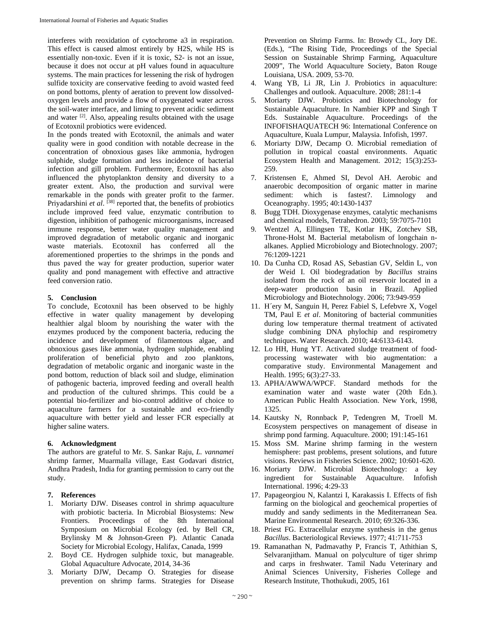interferes with reoxidation of cytochrome a3 in respiration. This effect is caused almost entirely by H2S, while HS is essentially non-toxic. Even if it is toxic, S2- is not an issue, because it does not occur at pH values found in aquaculture systems. The main practices for lessening the risk of hydrogen sulfide toxicity are conservative feeding to avoid wasted feed on pond bottoms, plenty of aeration to prevent low dissolvedoxygen levels and provide a flow of oxygenated water across the soil-water interface, and liming to prevent acidic sediment and water [2]. Also, appealing results obtained with the usage of Ecotoxnil probiotics were evidenced.

In the ponds treated with Ecotoxnil, the animals and water quality were in good condition with notable decrease in the concentration of obnoxious gases like ammonia, hydrogen sulphide, sludge formation and less incidence of bacterial infection and gill problem. Furthermore, Ecotoxnil has also influenced the phytoplankton density and diversity to a greater extent. Also, the production and survival were remarkable in the ponds with greater profit to the farmer. Priyadarshini *et al.* [38] reported that, the benefits of probiotics include improved feed value, enzymatic contribution to digestion, inhibition of pathogenic microorganisms, increased immune response, better water quality management and improved degradation of metabolic organic and inorganic waste materials. Ecotoxnil has conferred all the aforementioned properties to the shrimps in the ponds and thus paved the way for greater production, superior water quality and pond management with effective and attractive feed conversion ratio.

## **5. Conclusion**

To conclude, Ecotoxnil has been observed to be highly effective in water quality management by developing healthier algal bloom by nourishing the water with the enzymes produced by the component bacteria, reducing the incidence and development of filamentous algae, and obnoxious gases like ammonia, hydrogen sulphide, enabling proliferation of beneficial phyto and zoo planktons, degradation of metabolic organic and inorganic waste in the pond bottom, reduction of black soil and sludge, elimination of pathogenic bacteria, improved feeding and overall health and production of the cultured shrimps. This could be a potential bio-fertilizer and bio-control additive of choice to aquaculture farmers for a sustainable and eco-friendly aquaculture with better yield and lesser FCR especially at higher saline waters.

## **6. Acknowledgment**

The authors are grateful to Mr. S. Sankar Raju, *L. vannamei* shrimp farmer, Muarmalla village, East Godavari district, Andhra Pradesh, India for granting permission to carry out the study.

## **7. References**

- 1. Moriarty DJW. Diseases control in shrimp aquaculture with probiotic bacteria. In Microbial Biosystems: New Frontiers. Proceedings of the 8th International Symposium on Microbial Ecology (ed. by Bell CR, Brylinsky M & Johnson-Green P). Atlantic Canada Society for Microbial Ecology, Halifax, Canada, 1999
- 2. Boyd CE. Hydrogen sulphide toxic, but manageable. Global Aquaculture Advocate, 2014, 34-36
- 3. Moriarty DJW, Decamp O. Strategies for disease prevention on shrimp farms. Strategies for Disease

Prevention on Shrimp Farms. In: Browdy CL, Jory DE. (Eds.), "The Rising Tide, Proceedings of the Special Session on Sustainable Shrimp Farming, Aquaculture 2009", The World Aquaculture Society, Baton Rouge Louisiana, USA. 2009, 53-70.

- 4. Wang YB, Li JR, Lin J. Probiotics in aquaculture: Challenges and outlook. Aquaculture. 2008; 281:1-4
- 5. Moriarty DJW. Probiotics and Biotechnology for Sustainable Aquaculture. In Nambier KPP and Singh T Eds. Sustainable Aquaculture. Proceedings of the INFOFISHAQUATECH 96: International Conference on Aquaculture, Kuala Lumpur, Malaysia. Infofish, 1997.
- 6. Moriarty DJW, Decamp O. Microbial remediation of pollution in tropical coastal environments. Aquatic Ecosystem Health and Management. 2012; 15(3):253- 259.
- 7. Kristensen E, Ahmed SI, Devol AH. Aerobic and anaerobic decomposition of organic matter in marine sediment: which is fastest?. Limnology and Oceanography. 1995; 40:1430-1437
- 8. Bugg TDH. Dioxygenase enzymes, catalytic mechanisms and chemical models, Tetrahedron. 2003; 59:7075-7101
- 9. Wentzel A, Ellingsen TE, Kotlar HK, Zotchev SB, Throne-Holst M. Bacterial metabolism of longchain nalkanes. Applied Microbiology and Biotechnology. 2007; 76:1209-1221
- 10. Da Cunha CD, Rosad AS, Sebastian GV, Seldin L, von der Weid I. Oil biodegradation by *Bacillus* strains isolated from the rock of an oil reservoir located in a deep-water production basin in Brazil. Applied Microbiology and Biotechnology. 2006; 73:949-959
- 11. H´ery M, Sanguin H, Perez Fabiel S, Lefebvre X, Vogel TM, Paul E *et al*. Monitoring of bacterial communities during low temperature thermal treatment of activated sludge combining DNA phylochip and respirometry techniques. Water Research. 2010; 44:6133-6143.
- 12. Lo HH, Hung YT. Activated sludge treatment of foodprocessing wastewater with bio augmentation: a comparative study. Environmental Management and Health. 1995; 6(3):27-33.
- 13. APHA/AWWA/WPCF. Standard methods for the examination water and waste water (20th Edn.). American Public Health Association. New York, 1998, 1325.
- 14. Kautsky N, Ronnback P, Tedengren M, Troell M. Ecosystem perspectives on management of disease in shrimp pond farming. Aquaculture. 2000; 191:145-161
- 15. Moss SM. Marine shrimp farming in the western hemisphere: past problems, present solutions, and future visions. Reviews in Fisheries Science. 2002; 10:601-620.
- 16. Moriarty DJW. Microbial Biotechnology: a key ingredient for Sustainable Aquaculture. Infofish International. 1996; 4:29-33
- 17. Papageorgiou N, Kalantzi I, Karakassis I. Effects of fish farming on the biological and geochemical properties of muddy and sandy sediments in the Mediterranean Sea. Marine Environmental Research. 2010; 69:326-336.
- 18. Priest FG. Extracellular enzyme synthesis in the genus *Bacillus*. Bacteriological Reviews. 1977; 41:711-753
- 19. Ramanathan N, Padmavathy P, Francis T, Athithian S, Selvaranjitham. Manual on polyculture of tiger shrimp and carps in freshwater. Tamil Nadu Veterinary and Animal Sciences University, Fisheries College and Research Institute, Thothukudi, 2005, 161